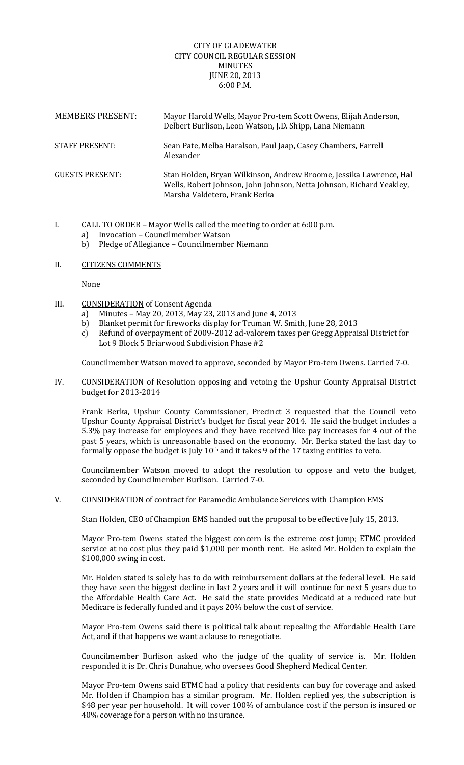## CITY OF GLADEWATER CITY COUNCIL REGULAR SESSION MINUTES **JUNE 20, 2013** 6:00 P.M.

| <b>MEMBERS PRESENT:</b> | Mayor Harold Wells, Mayor Pro-tem Scott Owens, Elijah Anderson,<br>Delbert Burlison, Leon Watson, J.D. Shipp, Lana Niemann                                                  |
|-------------------------|-----------------------------------------------------------------------------------------------------------------------------------------------------------------------------|
| <b>STAFF PRESENT:</b>   | Sean Pate, Melba Haralson, Paul Jaap, Casey Chambers, Farrell<br>Alexander                                                                                                  |
| <b>GUESTS PRESENT:</b>  | Stan Holden, Bryan Wilkinson, Andrew Broome, Jessika Lawrence, Hal<br>Wells, Robert Johnson, John Johnson, Netta Johnson, Richard Yeakley,<br>Marsha Valdetero, Frank Berka |

- I. CALL TO ORDER Mayor Wells called the meeting to order at 6:00 p.m.
	- a) Invocation Councilmember Watson
		- b) Pledge of Allegiance Councilmember Niemann

## II. CITIZENS COMMENTS

None 

- III. CONSIDERATION of Consent Agenda
	- a) Minutes May 20, 2013, May 23, 2013 and June 4, 2013
	- b) Blanket permit for fireworks display for Truman W. Smith, June 28, 2013
	- c) Refund of overpayment of 2009-2012 ad-valorem taxes per Gregg Appraisal District for Lot 9 Block 5 Briarwood Subdivision Phase #2

Councilmember Watson moved to approve, seconded by Mayor Pro-tem Owens. Carried 7-0.

IV. CONSIDERATION of Resolution opposing and vetoing the Upshur County Appraisal District budget for 2013-2014

Frank Berka, Upshur County Commissioner, Precinct 3 requested that the Council veto Upshur County Appraisal District's budget for fiscal year 2014. He said the budget includes a 5.3% pay increase for employees and they have received like pay increases for 4 out of the past 5 years, which is unreasonable based on the economy. Mr. Berka stated the last day to formally oppose the budget is July  $10<sup>th</sup>$  and it takes 9 of the 17 taxing entities to veto.

Councilmember Watson moved to adopt the resolution to oppose and veto the budget, seconded by Councilmember Burlison. Carried 7-0.

V. CONSIDERATION of contract for Paramedic Ambulance Services with Champion EMS

Stan Holden, CEO of Champion EMS handed out the proposal to be effective July 15, 2013.

Mayor Pro-tem Owens stated the biggest concern is the extreme cost jump; ETMC provided service at no cost plus they paid \$1,000 per month rent. He asked Mr. Holden to explain the  $$100,000$  swing in cost.

Mr. Holden stated is solely has to do with reimbursement dollars at the federal level. He said they have seen the biggest decline in last 2 years and it will continue for next 5 years due to the Affordable Health Care Act. He said the state provides Medicaid at a reduced rate but Medicare is federally funded and it pays 20% below the cost of service.

Mayor Pro-tem Owens said there is political talk about repealing the Affordable Health Care Act, and if that happens we want a clause to renegotiate.

Councilmember Burlison asked who the judge of the quality of service is. Mr. Holden responded it is Dr. Chris Dunahue, who oversees Good Shepherd Medical Center.

Mayor Pro-tem Owens said ETMC had a policy that residents can buy for coverage and asked Mr. Holden if Champion has a similar program. Mr. Holden replied yes, the subscription is \$48 per year per household. It will cover 100% of ambulance cost if the person is insured or 40% coverage for a person with no insurance.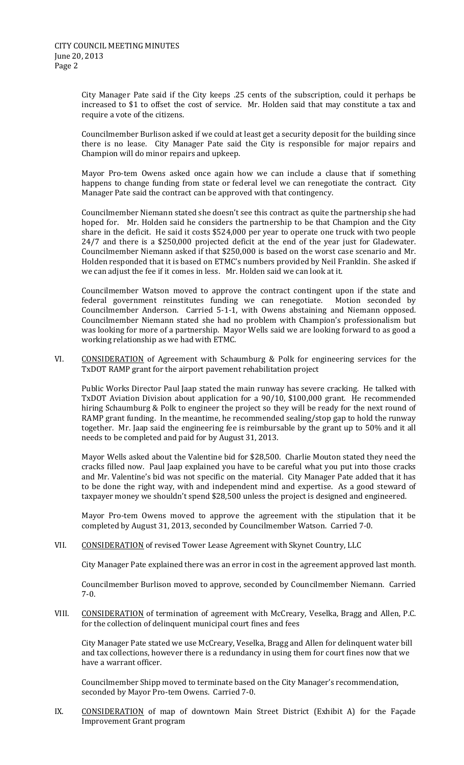City Manager Pate said if the City keeps .25 cents of the subscription, could it perhaps be increased to \$1 to offset the cost of service. Mr. Holden said that may constitute a tax and require a vote of the citizens.

Councilmember Burlison asked if we could at least get a security deposit for the building since there is no lease. City Manager Pate said the City is responsible for major repairs and Champion will do minor repairs and upkeep.

Mayor Pro-tem Owens asked once again how we can include a clause that if something happens to change funding from state or federal level we can renegotiate the contract. City Manager Pate said the contract can be approved with that contingency.

Councilmember Niemann stated she doesn't see this contract as quite the partnership she had hoped for. Mr. Holden said he considers the partnership to be that Champion and the City share in the deficit. He said it costs  $$524,000$  per year to operate one truck with two people  $24/7$  and there is a \$250,000 projected deficit at the end of the year just for Gladewater. Councilmember Niemann asked if that \$250,000 is based on the worst case scenario and Mr. Holden responded that it is based on ETMC's numbers provided by Neil Franklin. She asked if we can adjust the fee if it comes in less. Mr. Holden said we can look at it.

Councilmember Watson moved to approve the contract contingent upon if the state and federal government reinstitutes funding we can renegotiate. Motion seconded by Councilmember Anderson. Carried 5-1-1, with Owens abstaining and Niemann opposed. Councilmember Niemann stated she had no problem with Champion's professionalism but was looking for more of a partnership. Mayor Wells said we are looking forward to as good a working relationship as we had with ETMC.

VI. CONSIDERATION of Agreement with Schaumburg & Polk for engineering services for the TxDOT RAMP grant for the airport pavement rehabilitation project

Public Works Director Paul Jaap stated the main runway has severe cracking. He talked with TxDOT Aviation Division about application for a 90/10, \$100,000 grant. He recommended hiring Schaumburg & Polk to engineer the project so they will be ready for the next round of RAMP grant funding. In the meantime, he recommended sealing/stop gap to hold the runway together. Mr. Jaap said the engineering fee is reimbursable by the grant up to 50% and it all needs to be completed and paid for by August 31, 2013.

Mayor Wells asked about the Valentine bid for \$28,500. Charlie Mouton stated they need the cracks filled now. Paul Jaap explained you have to be careful what you put into those cracks and Mr. Valentine's bid was not specific on the material. City Manager Pate added that it has to be done the right way, with and independent mind and expertise. As a good steward of taxpayer money we shouldn't spend \$28,500 unless the project is designed and engineered.

Mayor Pro-tem Owens moved to approve the agreement with the stipulation that it be completed by August 31, 2013, seconded by Councilmember Watson. Carried 7-0.

VII. CONSIDERATION of revised Tower Lease Agreement with Skynet Country, LLC

City Manager Pate explained there was an error in cost in the agreement approved last month.

Councilmember Burlison moved to approve, seconded by Councilmember Niemann. Carried 7‐0. 

VIII. CONSIDERATION of termination of agreement with McCreary, Veselka, Bragg and Allen, P.C. for the collection of delinquent municipal court fines and fees

City Manager Pate stated we use McCreary, Veselka, Bragg and Allen for delinquent water bill and tax collections, however there is a redundancy in using them for court fines now that we have a warrant officer.

Councilmember Shipp moved to terminate based on the City Manager's recommendation, seconded by Mayor Pro-tem Owens. Carried 7-0.

IX. CONSIDERATION of map of downtown Main Street District (Exhibit A) for the Façade Improvement Grant program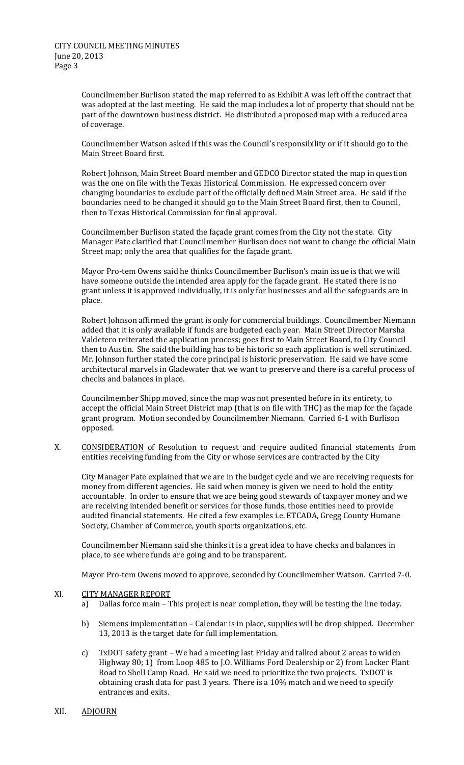Councilmember Burlison stated the map referred to as Exhibit A was left off the contract that was adopted at the last meeting. He said the map includes a lot of property that should not be part of the downtown business district. He distributed a proposed map with a reduced area of coverage.

Councilmember Watson asked if this was the Council's responsibility or if it should go to the Main Street Board first.

Robert Johnson, Main Street Board member and GEDCO Director stated the map in question was the one on file with the Texas Historical Commission. He expressed concern over changing boundaries to exclude part of the officially defined Main Street area. He said if the boundaries need to be changed it should go to the Main Street Board first, then to Council, then to Texas Historical Commission for final approval.

Councilmember Burlison stated the façade grant comes from the City not the state. City Manager Pate clarified that Councilmember Burlison does not want to change the official Main Street map; only the area that qualifies for the façade grant.

Mayor Pro-tem Owens said he thinks Councilmember Burlison's main issue is that we will have someone outside the intended area apply for the façade grant. He stated there is no grant unless it is approved individually, it is only for businesses and all the safeguards are in place. 

Robert Johnson affirmed the grant is only for commercial buildings. Councilmember Niemann added that it is only available if funds are budgeted each year. Main Street Director Marsha Valdetero reiterated the application process; goes first to Main Street Board, to City Council then to Austin. She said the building has to be historic so each application is well scrutinized. Mr. Johnson further stated the core principal is historic preservation. He said we have some architectural marvels in Gladewater that we want to preserve and there is a careful process of checks and balances in place.

Councilmember Shipp moved, since the map was not presented before in its entirety, to accept the official Main Street District map (that is on file with THC) as the map for the facade grant program. Motion seconded by Councilmember Niemann. Carried 6-1 with Burlison opposed. 

X. CONSIDERATION of Resolution to request and require audited financial statements from entities receiving funding from the City or whose services are contracted by the City

City Manager Pate explained that we are in the budget cycle and we are receiving requests for money from different agencies. He said when money is given we need to hold the entity accountable. In order to ensure that we are being good stewards of taxpayer money and we are receiving intended benefit or services for those funds, those entities need to provide audited financial statements. He cited a few examples i.e. ETCADA, Gregg County Humane Society, Chamber of Commerce, youth sports organizations, etc.

Councilmember Niemann said she thinks it is a great idea to have checks and balances in place, to see where funds are going and to be transparent.

Mayor Pro-tem Owens moved to approve, seconded by Councilmember Watson. Carried 7-0.

## XI. CITY MANAGER REPORT

- a) Dallas force main This project is near completion, they will be testing the line today.
- b) Siemens implementation Calendar is in place, supplies will be drop shipped. December 13, 2013 is the target date for full implementation.
- c) TxDOT safety grant We had a meeting last Friday and talked about 2 areas to widen Highway 80; 1) from Loop 485 to J.O. Williams Ford Dealership or 2) from Locker Plant Road to Shell Camp Road. He said we need to prioritize the two projects. TxDOT is obtaining crash data for past 3 years. There is a 10% match and we need to specify entrances and exits.
- XII. ADJOURN